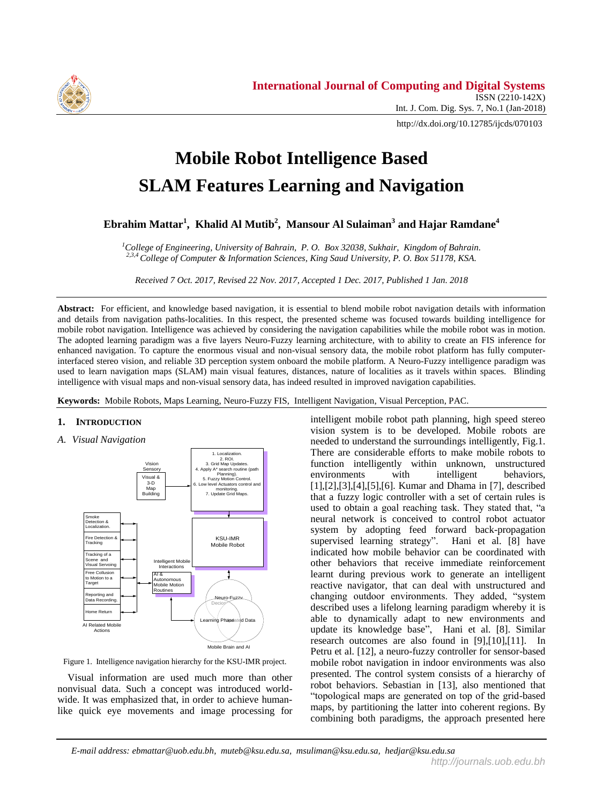

http://dx.doi.org/10.12785/ijcds/070103

# **Mobile Robot Intelligence Based SLAM Features Learning and Navigation**

**Ebrahim Mattar<sup>1</sup> , Khalid Al Mutib<sup>2</sup> , Mansour Al Sulaiman<sup>3</sup> and Hajar Ramdane<sup>4</sup>**

*<sup>1</sup>College of Engineering, University of Bahrain, P. O. Box 32038, Sukhair, Kingdom of Bahrain. 2,3,4 College of Computer & Information Sciences, King Saud University, P. O. Box 51178, KSA.*

*Received 7 Oct. 2017, Revised 22 Nov. 2017, Accepted 1 Dec. 2017, Published 1 Jan. 2018*

**Abstract:** For efficient, and knowledge based navigation, it is essential to blend mobile robot navigation details with information and details from navigation paths-localities. In this respect, the presented scheme was focused towards building intelligence for mobile robot navigation. Intelligence was achieved by considering the navigation capabilities while the mobile robot was in motion. The adopted learning paradigm was a five layers Neuro-Fuzzy learning architecture, with to ability to create an FIS inference for enhanced navigation. To capture the enormous visual and non-visual sensory data, the mobile robot platform has fully computerinterfaced stereo vision, and reliable 3D perception system onboard the mobile platform. A Neuro-Fuzzy intelligence paradigm was used to learn navigation maps (SLAM) main visual features, distances, nature of localities as it travels within spaces. Blinding intelligence with visual maps and non-visual sensory data, has indeed resulted in improved navigation capabilities.

**Keywords:** Mobile Robots, Maps Learning, Neuro-Fuzzy FIS, Intelligent Navigation, Visual Perception, PAC.

## **1. INTRODUCTION**

## *A. Visual Navigation*



Figure 1. Intelligence navigation hierarchy for the KSU-IMR project.

 Visual information are used much more than other nonvisual data. Such a concept was introduced worldwide. It was emphasized that, in order to achieve humanlike quick eye movements and image processing for

intelligent mobile robot path planning, high speed stereo vision system is to be developed. Mobile robots are needed to understand the surroundings intelligently, Fig.1. There are considerable efforts to make mobile robots to function intelligently within unknown, unstructured environments with intelligent behaviors, [1],[2],[3],[4],[5],[6]. Kumar and Dhama in [7], described that a fuzzy logic controller with a set of certain rules is used to obtain a goal reaching task. They stated that, "a neural network is conceived to control robot actuator system by adopting feed forward back-propagation supervised learning strategy". Hani et al. [8] have indicated how mobile behavior can be coordinated with other behaviors that receive immediate reinforcement learnt during previous work to generate an intelligent reactive navigator, that can deal with unstructured and changing outdoor environments. They added, "system described uses a lifelong learning paradigm whereby it is able to dynamically adapt to new environments and update its knowledge base", Hani et al. [8]. Similar research outcomes are also found in [9],[10],[11]. In Petru et al. [12], a neuro-fuzzy controller for sensor-based mobile robot navigation in indoor environments was also presented. The control system consists of a hierarchy of robot behaviors. Sebastian in [13], also mentioned that "topological maps are generated on top of the grid-based maps, by partitioning the latter into coherent regions. By combining both paradigms, the approach presented here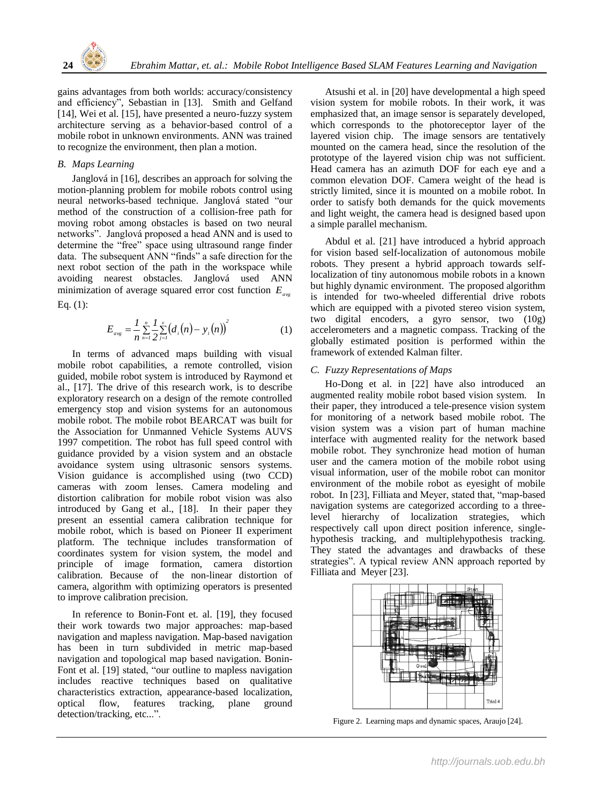

gains advantages from both worlds: accuracy/consistency and efficiency", Sebastian in [13]. Smith and Gelfand [14], Wei et al. [15], have presented a neuro-fuzzy system architecture serving as a behavior-based control of a mobile robot in unknown environments. ANN was trained to recognize the environment, then plan a motion.

## *B. Maps Learning*

Janglová in [16], describes an approach for solving the motion-planning problem for mobile robots control using neural networks-based technique. Janglová stated "our method of the construction of a collision-free path for moving robot among obstacles is based on two neural networks". Janglová proposed a head ANN and is used to determine the "free" space using ultrasound range finder data. The subsequent ANN "finds" a safe direction for the next robot section of the path in the workspace while avoiding nearest obstacles. Janglová used ANN minimization of average squared error cost function *E avg* Eq. (1):

$$
E_{avg} = \frac{1}{n} \sum_{n=1}^{n} \frac{1}{2} \sum_{j=1}^{v} (d_i(n) - y_i(n))^2
$$
 (1)

In terms of advanced maps building with visual mobile robot capabilities, a remote controlled, vision guided, mobile robot system is introduced by Raymond et al., [17]. The drive of this research work, is to describe exploratory research on a design of the remote controlled emergency stop and vision systems for an autonomous mobile robot. The mobile robot BEARCAT was built for the Association for Unmanned Vehicle Systems AUVS 1997 competition. The robot has full speed control with guidance provided by a vision system and an obstacle avoidance system using ultrasonic sensors systems. Vision guidance is accomplished using (two CCD) cameras with zoom lenses. Camera modeling and distortion calibration for mobile robot vision was also introduced by Gang et al., [18]. In their paper they present an essential camera calibration technique for mobile robot, which is based on Pioneer II experiment platform. The technique includes transformation of coordinates system for vision system, the model and principle of image formation, camera distortion calibration. Because of the non-linear distortion of camera, algorithm with optimizing operators is presented to improve calibration precision.

In reference to Bonin-Font et. al. [19], they focused their work towards two major approaches: map-based navigation and mapless navigation. Map-based navigation has been in turn subdivided in metric map-based navigation and topological map based navigation. Bonin-Font et al. [19] stated, "our outline to mapless navigation includes reactive techniques based on qualitative characteristics extraction, appearance-based localization, optical flow, features tracking, plane ground detection/tracking, etc...".

Atsushi et al. in [20] have developmental a high speed vision system for mobile robots. In their work, it was emphasized that, an image sensor is separately developed, which corresponds to the photoreceptor layer of the layered vision chip. The image sensors are tentatively mounted on the camera head, since the resolution of the prototype of the layered vision chip was not sufficient. Head camera has an azimuth DOF for each eye and a common elevation DOF. Camera weight of the head is strictly limited, since it is mounted on a mobile robot. In order to satisfy both demands for the quick movements and light weight, the camera head is designed based upon a simple parallel mechanism.

Abdul et al. [21] have introduced a hybrid approach for vision based self-localization of autonomous mobile robots. They present a hybrid approach towards selflocalization of tiny autonomous mobile robots in a known but highly dynamic environment. The proposed algorithm is intended for two-wheeled differential drive robots which are equipped with a pivoted stereo vision system, two digital encoders, a gyro sensor, two (10g) accelerometers and a magnetic compass. Tracking of the globally estimated position is performed within the framework of extended Kalman filter.

# *C. Fuzzy Representations of Maps*

Ho-Dong et al. in [22] have also introduced an augmented reality mobile robot based vision system. In their paper, they introduced a tele-presence vision system for monitoring of a network based mobile robot. The vision system was a vision part of human machine interface with augmented reality for the network based mobile robot. They synchronize head motion of human user and the camera motion of the mobile robot using visual information, user of the mobile robot can monitor environment of the mobile robot as eyesight of mobile robot. In [23], Filliata and Meyer, stated that, "map-based navigation systems are categorized according to a threelevel hierarchy of localization strategies, which respectively call upon direct position inference, singlehypothesis tracking, and multiplehypothesis tracking. They stated the advantages and drawbacks of these strategies". A typical review ANN approach reported by Filliata and Meyer [23].



Figure 2. Learning maps and dynamic spaces, Araujo [24].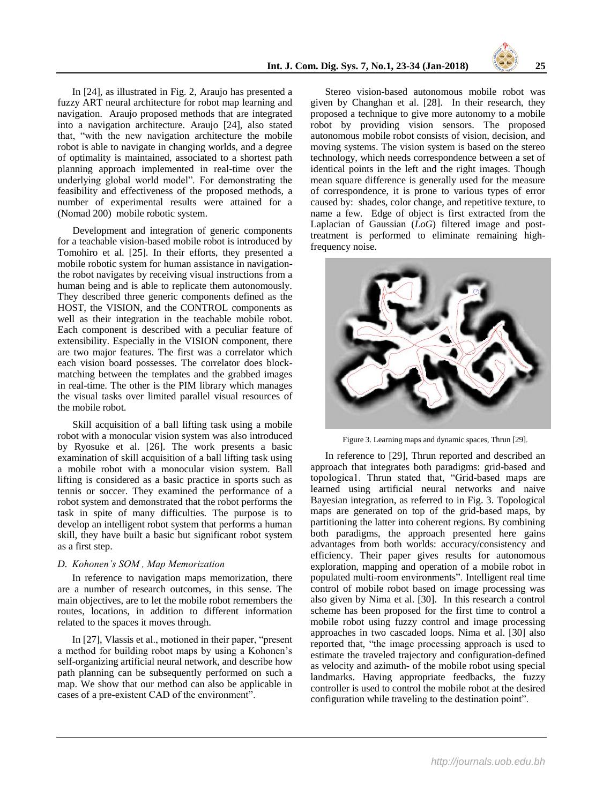In [24], as illustrated in Fig. 2, Araujo has presented a fuzzy ART neural architecture for robot map learning and navigation. Araujo proposed methods that are integrated into a navigation architecture. Araujo [24], also stated that, "with the new navigation architecture the mobile robot is able to navigate in changing worlds, and a degree of optimality is maintained, associated to a shortest path planning approach implemented in real-time over the underlying global world model". For demonstrating the feasibility and effectiveness of the proposed methods, a number of experimental results were attained for a (Nomad 200) mobile robotic system.

 Development and integration of generic components for a teachable vision-based mobile robot is introduced by Tomohiro et al. [25]. In their efforts, they presented a mobile robotic system for human assistance in navigationthe robot navigates by receiving visual instructions from a human being and is able to replicate them autonomously. They described three generic components defined as the HOST, the VISION, and the CONTROL components as well as their integration in the teachable mobile robot. Each component is described with a peculiar feature of extensibility. Especially in the VISION component, there are two major features. The first was a correlator which each vision board possesses. The correlator does blockmatching between the templates and the grabbed images in real-time. The other is the PIM library which manages the visual tasks over limited parallel visual resources of the mobile robot.

 Skill acquisition of a ball lifting task using a mobile robot with a monocular vision system was also introduced by Ryosuke et al. [26]. The work presents a basic examination of skill acquisition of a ball lifting task using a mobile robot with a monocular vision system. Ball lifting is considered as a basic practice in sports such as tennis or soccer. They examined the performance of a robot system and demonstrated that the robot performs the task in spite of many difficulties. The purpose is to develop an intelligent robot system that performs a human skill, they have built a basic but significant robot system as a first step.

## *D. Kohonen's SOM , Map Memorization*

In reference to navigation maps memorization, there are a number of research outcomes, in this sense. The main objectives, are to let the mobile robot remembers the routes, locations, in addition to different information related to the spaces it moves through.

In [27], Vlassis et al., motioned in their paper, "present a method for building robot maps by using a Kohonen's self-organizing artificial neural network, and describe how path planning can be subsequently performed on such a map. We show that our method can also be applicable in cases of a pre-existent CAD of the environment".

Stereo vision-based autonomous mobile robot was given by Changhan et al. [28]. In their research, they proposed a technique to give more autonomy to a mobile robot by providing vision sensors. The proposed autonomous mobile robot consists of vision, decision, and moving systems. The vision system is based on the stereo technology, which needs correspondence between a set of identical points in the left and the right images. Though mean square difference is generally used for the measure of correspondence, it is prone to various types of error caused by: shades, color change, and repetitive texture, to name a few. Edge of object is first extracted from the Laplacian of Gaussian (*LoG*) filtered image and posttreatment is performed to eliminate remaining highfrequency noise.



Figure 3. Learning maps and dynamic spaces, Thrun [29].

In reference to [29], Thrun reported and described an approach that integrates both paradigms: grid-based and topoIogica1. Thrun stated that, "Grid-based maps are learned using artificial neural networks and naive Bayesian integration, as referred to in Fig. 3. Topological maps are generated on top of the grid-based maps, by partitioning the latter into coherent regions. By combining both paradigms, the approach presented here gains advantages from both worlds: accuracy/consistency and efficiency. Their paper gives results for autonomous exploration, mapping and operation of a mobile robot in populated multi-room environments". Intelligent real time control of mobile robot based on image processing was also given by Nima et al. [30]. In this research a control scheme has been proposed for the first time to control a mobile robot using fuzzy control and image processing approaches in two cascaded loops. Nima et al. [30] also reported that, "the image processing approach is used to estimate the traveled trajectory and configuration-defined as velocity and azimuth- of the mobile robot using special landmarks. Having appropriate feedbacks, the fuzzy controller is used to control the mobile robot at the desired configuration while traveling to the destination point".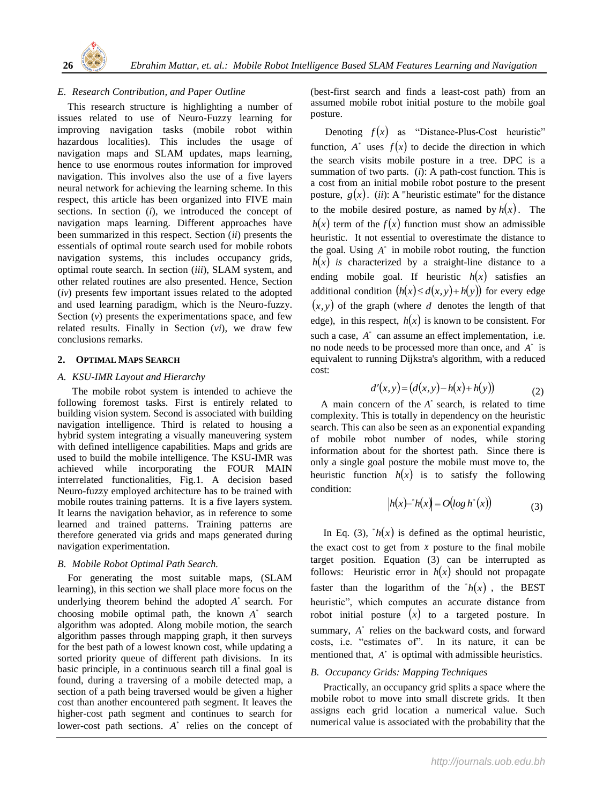

# *E. Research Contribution, and Paper Outline*

 This research structure is highlighting a number of issues related to use of Neuro-Fuzzy learning for improving navigation tasks (mobile robot within hazardous localities). This includes the usage of navigation maps and SLAM updates, maps learning, hence to use enormous routes information for improved navigation. This involves also the use of a five layers neural network for achieving the learning scheme. In this respect, this article has been organized into FIVE main sections. In section (*i*), we introduced the concept of navigation maps learning. Different approaches have been summarized in this respect. Section (*ii*) presents the essentials of optimal route search used for mobile robots navigation systems, this includes occupancy grids, optimal route search. In section (*iii*), SLAM system, and other related routines are also presented. Hence, Section (*iv*) presents few important issues related to the adopted and used learning paradigm, which is the Neuro-fuzzy. Section  $(v)$  presents the experimentations space, and few related results. Finally in Section (*vi*), we draw few conclusions remarks.

## **2. OPTIMAL MAPS SEARCH**

## *A. KSU-IMR Layout and Hierarchy*

The mobile robot system is intended to achieve the following foremost tasks. First is entirely related to building vision system. Second is associated with building navigation intelligence. Third is related to housing a hybrid system integrating a visually maneuvering system with defined intelligence capabilities. Maps and grids are used to build the mobile intelligence. The KSU-IMR was achieved while incorporating the FOUR MAIN interrelated functionalities, Fig.1. A decision based Neuro-fuzzy employed architecture has to be trained with mobile routes training patterns. It is a five layers system. It learns the navigation behavior, as in reference to some learned and trained patterns. Training patterns are therefore generated via grids and maps generated during navigation experimentation.

# *B. Mobile Robot Optimal Path Search.*

 For generating the most suitable maps, (SLAM learning), in this section we shall place more focus on the underlying theorem behind the adopted  $A^*$  search. For choosing mobile optimal path, the known  $A^*$  search algorithm was adopted. Along mobile motion, the search algorithm passes through mapping graph, it then surveys for the best path of a lowest known cost, while updating a sorted priority queue of different path divisions. In its basic principle, in a continuous search till a final goal is found, during a traversing of a mobile detected map, a section of a path being traversed would be given a higher cost than another encountered path segment. It leaves the higher-cost path segment and continues to search for lower-cost path sections.  $A^*$  relies on the concept of (best-first search and finds a least-cost path) from an assumed mobile robot initial posture to the mobile goal posture.

Denoting  $f(x)$  as "Distance-Plus-Cost heuristic" function,  $A^*$  uses  $f(x)$  to decide the direction in which the search visits mobile posture in a tree. DPC is a summation of two parts. (*i*): A path-cost function. This is a cost from an initial mobile robot posture to the present posture,  $g(x)$ . *(ii)*: A "heuristic estimate" for the distance to the mobile desired posture, as named by  $h(x)$ . The  $h(x)$  term of the  $f(x)$  function must show an admissible heuristic. It not essential to overestimate the distance to the goal. Using  $A^*$  in mobile robot routing, the function  $h(x)$  *is* characterized by a straight-line distance to a ending mobile goal. If heuristic  $h(x)$  satisfies an additional condition  $(h(x) \leq d(x, y) + h(y))$  for every edge  $(x, y)$  of the graph (where d denotes the length of that edge), in this respect,  $h(x)$  is known to be consistent. For such a case,  $A^*$  can assume an effect implementation, i.e. no node needs to be processed more than once, and  $A^*$  is equivalent to running Dijkstra's algorithm, with a reduced cost:

$$
d'(x, y) = (d(x, y) - h(x) + h(y))
$$
 (2)

A main concern of the  $A^*$  search, is related to time complexity. This is totally in dependency on the heuristic search. This can also be seen as an exponential expanding of mobile robot number of nodes, while storing information about for the shortest path. Since there is only a single goal posture the mobile must move to, the heuristic function  $h(x)$  is to satisfy the following condition:

$$
|h(x)-h(x)| = O(\log h^{*}(x))
$$
\n(3)

In Eq. (3),  $h(x)$  is defined as the optimal heuristic, the exact cost to get from  $x$  posture to the final mobile target position. Equation (3) can be interrupted as follows: Heuristic error in  $h(x)$  should not propagate faster than the logarithm of the  $h(x)$ , the BEST heuristic", which computes an accurate distance from robot initial posture  $(x)$  to a targeted posture. In summary,  $A^*$  relies on the backward costs, and forward costs, i.e. "estimates of". In its nature, it can be mentioned that,  $A^*$  is optimal with admissible heuristics.

# *B. Occupancy Grids: Mapping Techniques*

 Practically, an occupancy grid splits a space where the mobile robot to move into small discrete grids. It then assigns each grid location a numerical value. Such numerical value is associated with the probability that the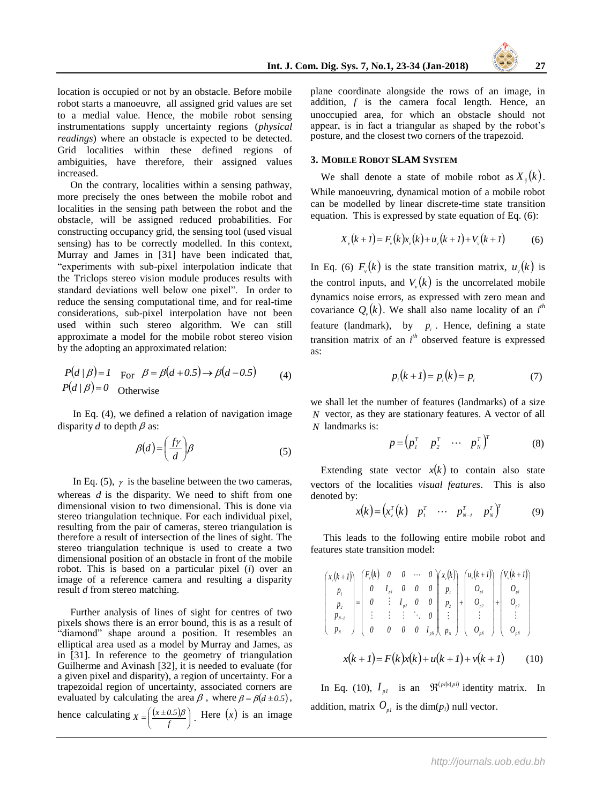location is occupied or not by an obstacle. Before mobile robot starts a manoeuvre, all assigned grid values are set to a medial value. Hence, the mobile robot sensing instrumentations supply uncertainty regions (*physical readings*) where an obstacle is expected to be detected. Grid localities within these defined regions of ambiguities, have therefore, their assigned values increased.

 On the contrary, localities within a sensing pathway, more precisely the ones between the mobile robot and localities in the sensing path between the robot and the obstacle, will be assigned reduced probabilities. For constructing occupancy grid, the sensing tool (used visual sensing) has to be correctly modelled. In this context, Murray and James in [31] have been indicated that, "experiments with sub-pixel interpolation indicate that the Triclops stereo vision module produces results with standard deviations well below one pixel". In order to reduce the sensing computational time, and for real-time considerations, sub-pixel interpolation have not been used within such stereo algorithm. We can still approximate a model for the mobile robot stereo vision by the adopting an approximated relation:

$$
P(d/\beta) = 1
$$
 For  $\beta = \beta(d+0.5) \rightarrow \beta(d-0.5)$  (4)  

$$
P(d/\beta) = 0
$$
 Otherwise

 In Eq. (4), we defined a relation of navigation image disparity  $d$  to depth  $\beta$  as:

$$
\beta(d) = \left(\frac{f\gamma}{d}\right)\beta\tag{5}
$$

In Eq. (5),  $\gamma$  is the baseline between the two cameras, whereas  $d$  is the disparity. We need to shift from one dimensional vision to two dimensional. This is done via stereo triangulation technique. For each individual pixel, resulting from the pair of cameras, stereo triangulation is therefore a result of intersection of the lines of sight. The stereo triangulation technique is used to create a two dimensional position of an obstacle in front of the mobile robot. This is based on a particular pixel (*i*) over an image of a reference camera and resulting a disparity result *d* from stereo matching.

 Further analysis of lines of sight for centres of two pixels shows there is an error bound, this is as a result of "diamond" shape around a position. It resembles an elliptical area used as a model by Murray and James, as in [31]. In reference to the geometry of triangulation Guilherme and Avinash [32], it is needed to evaluate (for a given pixel and disparity), a region of uncertainty. For a trapezoidal region of uncertainty, associated corners are evaluated by calculating the area  $\beta$ , where  $\beta = \beta(d \pm 0.5)$ ,

hence calculating  $X = \left( \frac{(x \pm 0.5)\beta}{g} \right)$ . Here  $(x)$  is an image  $\overline{\phantom{a}}$ J λ  $\mathsf{I}$ L  $=\left(\frac{(x\pm 0)}{f}\right)$  $X = \left( \frac{(x \pm 0.5)\beta}{g} \right)$ . Here  $(x)$ 

plane coordinate alongside the rows of an image, in addition,  $f$  is the camera focal length. Hence, an unoccupied area, for which an obstacle should not appear, is in fact a triangular as shaped by the robot's posture, and the closest two corners of the trapezoid.

#### **3. MOBILE ROBOT SLAM SYSTEM**

We shall denote a state of mobile robot as  $X_{ij}(k)$ . While manoeuvring, dynamical motion of a mobile robot can be modelled by linear discrete-time state transition equation. This is expressed by state equation of Eq. (6):

$$
X_{\nu}(k+1) = F_{\nu}(k)x_{\nu}(k) + u_{\nu}(k+1) + V_{\nu}(k+1) \tag{6}
$$

In Eq. (6)  $F_v(k)$  is the state transition matrix,  $u_v(k)$  is the control inputs, and  $V_v(k)$  is the uncorrelated mobile dynamics noise errors, as expressed with zero mean and covariance  $Q_{\nu}(k)$ . We shall also name locality of an  $i^{th}$ feature (landmark), by  $p_i$ . Hence, defining a state transition matrix of an *i th* observed feature is expressed as:

$$
p_i(k+1) = p_i(k) = p_i \tag{7}
$$

we shall let the number of features (landmarks) of a size vector, as they are stationary features. A vector of all *N* landmarks is: *N*

$$
p = \begin{pmatrix} p_1^T & p_2^T & \cdots & p_N^T \end{pmatrix}^T \tag{8}
$$

Extending state vector  $x(k)$  to contain also state vectors of the localities *visual features*. This is also denoted by:

$$
x(k) = \begin{pmatrix} x_y^T(k) & p_y^T & \cdots & p_{N-1}^T & p_N^T \end{pmatrix}^T
$$
 (9)

 This leads to the following entire mobile robot and features state transition model:

$$
\begin{pmatrix} x_{\nu}(k+1) \\ p_1 \\ p_2 \\ p_{N-1} \\ p_N \end{pmatrix} = \begin{pmatrix} F_{\nu}(k) & 0 & 0 & \cdots & 0 \\ 0 & I_{\nu 1} & 0 & 0 & 0 \\ 0 & \vdots & I_{\nu 2} & 0 & 0 \\ \vdots & \vdots & \vdots & \ddots & 0 \\ 0 & 0 & 0 & 0 & I_{\nu N} \end{pmatrix} \begin{pmatrix} x_{\nu}(k+1) \\ p_1 \\ p_2 \\ \vdots \\ p_N \end{pmatrix} + \begin{pmatrix} V_{\nu}(k+1) \\ O_{\nu 1} \\ O_{\nu 2} \\ \vdots \\ O_{\nu N} \end{pmatrix}
$$

$$
x(k+1) = F(k)x(k) + u(k+1) + v(k+1) \qquad (10)
$$

In Eq. (10),  $I_{p1}$  is an  $\Re^{(pi)(p1)}$  identity matrix. In addition, matrix  $O_{p1}$  is the dim( $p_i$ ) null vector.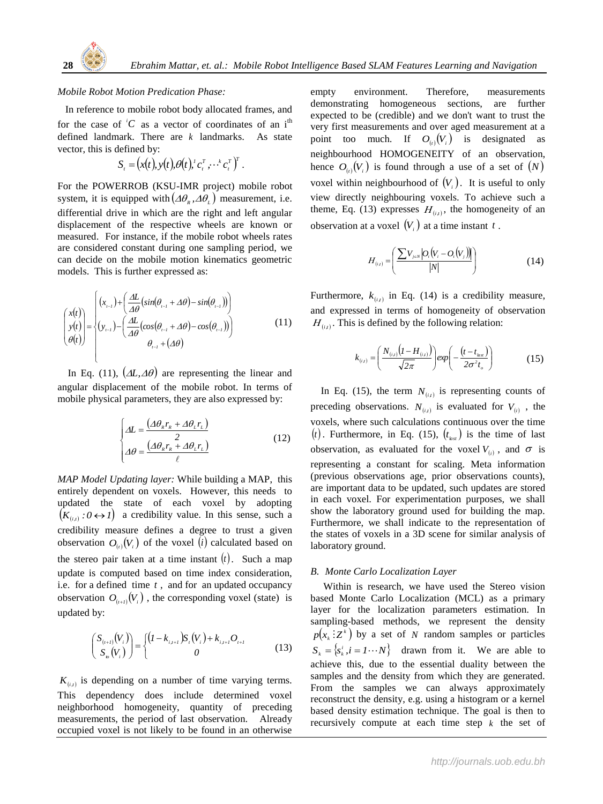

## *Mobile Robot Motion Predication Phase:*

In reference to mobile robot body allocated frames, and for the case of  $^iC$  as a vector of coordinates of an i<sup>th</sup> defined landmark. There are  $k$  landmarks. As state vector, this is defined by:

$$
S_{t} = (x(t), y(t), \theta(t), c_{t}^{T}, \cdots^{k} c_{t}^{T})^{T}.
$$

For the POWERROB (KSU-IMR project) mobile robot system, it is equipped with  $(\Delta \theta_{R}, \Delta \theta_{L})$  measurement, i.e. differential drive in which are the right and left angular displacement of the respective wheels are known or measured. For instance, if the mobile robot wheels rates are considered constant during one sampling period, we can decide on the mobile motion kinematics geometric models. This is further expressed as:

$$
\begin{pmatrix} x(t) \\ y(t) \\ \theta(t) \end{pmatrix} = \begin{cases} (x_{i-1}) + \left( \frac{\Delta L}{A\theta} (\sin(\theta_{i-1} + \Delta \theta) - \sin(\theta_{i-1})) \right) \\ (y_{i-1}) - \left( \frac{\Delta L}{A\theta} (\cos(\theta_{i-1} + \Delta \theta) - \cos(\theta_{i-1})) \right) \\ \theta_{i-1} + (\Delta \theta) \end{cases}
$$
(11)

In Eq. (11),  $(\Delta L, \Delta \theta)$  are representing the linear and angular displacement of the mobile robot. In terms of mobile physical parameters, they are also expressed by:

$$
\begin{cases}\n\Delta L = \frac{\left(\Delta \theta_{\kappa} r_{\kappa} + \Delta \theta_{\iota} r_{\iota}\right)}{2} \\
\Delta \theta = \frac{\left(\Delta \theta_{\kappa} r_{\kappa} + \Delta \theta_{\iota} r_{\iota}\right)}{\ell}\n\end{cases}
$$
\n(12)

*MAP Model Updating layer:* While building a MAP, this entirely dependent on voxels. However, this needs to updated the state of each voxel by adopting  $(K_{(i,i)} : 0 \leftrightarrow I)$  a credibility value. In this sense, such a credibility measure defines a degree to trust a given observation  $O_{(i)}(V_i)$  of the voxel (*i*) calculated based on the stereo pair taken at a time instant  $(t)$ . Such a map update is computed based on time index consideration, i.e. for a defined time  $t$ , and for an updated occupancy observation  $O_{(t+1)}(V_i)$ , the corresponding voxel (state) is updated by:

$$
\begin{pmatrix} S_{(i+1)}(V_i) \\ S_{i}(V_i) \end{pmatrix} = \begin{cases} (I - k_{i,i+1}) S_i(V_i) + k_{i,i+1} O_{i+1} \\ 0 \end{cases}
$$
(13)

 $K_{(i,t)}$  is depending on a number of time varying terms. This dependency does include determined voxel neighborhood homogeneity, quantity of preceding measurements, the period of last observation. Already occupied voxel is not likely to be found in an otherwise

empty environment. Therefore, measurements demonstrating homogeneous sections, are further expected to be (credible) and we don't want to trust the very first measurements and over aged measurement at a point too much. If  $O_{(i)}(V_i)$  is designated as neighbourhood HOMOGENEITY of an observation, hence  $O_{(i)}(V_i)$  is found through a use of a set of  $(N)$ voxel within neighbourhood of  $(V_i)$ . It is useful to only view directly neighbouring voxels. To achieve such a theme, Eq. (13) expresses  $H_{(i,j)}$ , the homogeneity of an observation at a voxel  $(V_i)$  at a time instant t.

$$
H_{(i)} = \left(\frac{\sum V_{j=N} |O_i(V_i - O_i(V_j))|}{|N|}\right) \tag{14}
$$

Furthermore,  $k_{(i,i)}$  in Eq. (14) is a credibility measure, and expressed in terms of homogeneity of observation  $H_{(i,t)}$ . This is defined by the following relation:

$$
k_{(i,i)} = \left(\frac{N_{(i,i)}(I - H_{(i,i)})}{\sqrt{2\pi}}\right) exp\left(-\frac{(t - t_{inst})}{2\sigma^2 t_o}\right)
$$
(15)

In Eq. (15), the term  $N_{(i,j)}$  is representing counts of preceding observations.  $N_{(i,i)}$  is evaluated for  $V_{(i)}$ , the voxels, where such calculations continuous over the time  $(t)$ . Furthermore, in Eq. (15),  $(t_{\mu s}t)$  is the time of last observation, as evaluated for the voxel  $V_{(i)}$ , and  $\sigma$  is representing a constant for scaling. Meta information (previous observations age, prior observations counts), are important data to be updated, such updates are stored in each voxel. For experimentation purposes, we shall show the laboratory ground used for building the map. Furthermore, we shall indicate to the representation of the states of voxels in a 3D scene for similar analysis of laboratory ground.

#### *B. Monte Carlo Localization Layer*

 Within is research, we have used the Stereo vision based Monte Carlo Localization (MCL) as a primary layer for the localization parameters estimation. In sampling-based methods, we represent the density  $p(x_k:Z^k)$  by a set of N random samples or particles  $S_k = \{s_k^i, i = 1 \cdots N\}$  drawn from it. We are able to achieve this, due to the essential duality between the samples and the density from which they are generated. From the samples we can always approximately reconstruct the density, e.g. using a histogram or a kernel based density estimation technique. The goal is then to recursively compute at each time step  $k$  the set of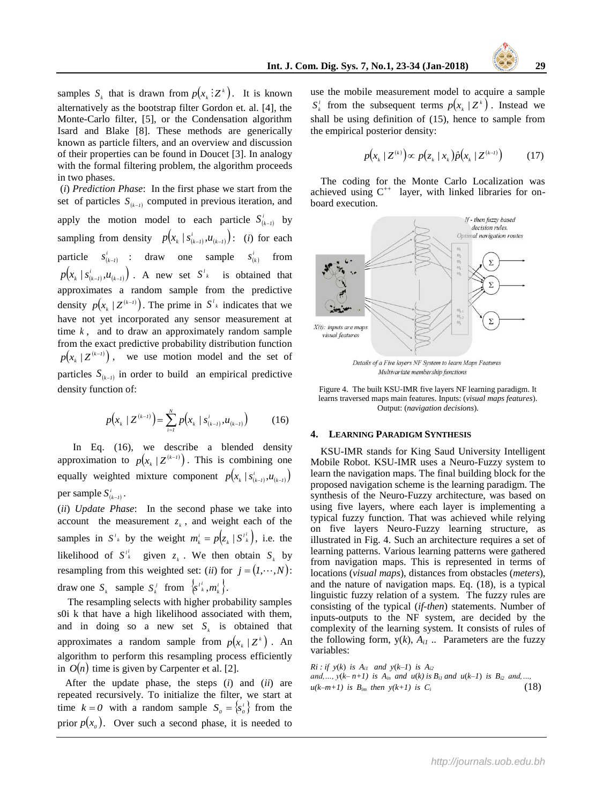samples  $S_k$  that is drawn from  $p(x_k : Z^k)$ . It is known alternatively as the bootstrap filter Gordon et. al. [4], the Monte-Carlo filter, [5], or the Condensation algorithm Isard and Blake [8]. These methods are generically known as particle filters, and an overview and discussion of their properties can be found in Doucet [3]. In analogy with the formal filtering problem, the algorithm proceeds in two phases.

(*i*) *Prediction Phase*: In the first phase we start from the set of particles  $S_{k-1}$  computed in previous iteration, and apply the motion model to each particle  $S_{(k-1)}^i$  by sampling from density  $p(x_k / s_{(k-1)}^i, u_{(k-1)})$ : (*i*) for each particle  $s_{(k-1)}^i$  : draw one sample  $s_{(k)}^i$  from  $p(x_k / s_{(k-l)}^i, u_{(k-l)})$ . A new set  $S^l_k$  is obtained that approximates a random sample from the predictive density  $p(x_k / Z^{(k-1)})$ . The prime in  $S^l_k$  indicates that we have not yet incorporated any sensor measurement at time  $k$ , and to draw an approximately random sample from the exact predictive probability distribution function  $p(x_k / Z^{(k-1)})$ , we use motion model and the set of particles  $S_{(k-1)}$  in order to build an empirical predictive density function of:

$$
p(x_k / Z^{(k-l)}) = \sum_{i=1}^{N} p(x_k / s_{(k-l)}^i, u_{(k-l)})
$$
 (16)

 In Eq. (16), we describe a blended density approximation to  $p(x_k / Z^{(k-1)})$ . This is combining one equally weighted mixture component  $p(x_k / s_{(k-l)}^i, u_{(k-l)})$ per sample  $S^i_{(k-1)}$ .

(*ii*) *Update Phase*: In the second phase we take into account the measurement  $z_k$ , and weight each of the samples in  $S^{\prime}{}_{k}$  by the weight  $m_{k}^{i} = p(z_{k}/S^{\prime}{}_{k}^{i})$ , i.e. the likelihood of  $S_k^i$  given  $z_k$ . We then obtain  $S_k$  by resampling from this weighted set: (*ii*) for  $j = (1, \dots, N)$ : draw one  $S_k$  sample  $S_k^j$  from  $\{s^{i_k}, m_k^i\}$ .  $s^{i_k^i}, m$ 

 The resampling selects with higher probability samples s0i k that have a high likelihood associated with them, and in doing so a new set  $S_k$  is obtained that approximates a random sample from  $p(x_k / Z^k)$ . An algorithm to perform this resampling process efficiently in  $O(n)$  time is given by Carpenter et al. [2].

 After the update phase, the steps (*i*) and (*ii*) are repeated recursively. To initialize the filter, we start at time  $k = 0$  with a random sample  $S_0 = \{s_0^i\}$  from the prior  $p(x_0)$ . Over such a second phase, it is needed to

use the mobile measurement model to acquire a sample  $S_k^{\dagger}$  from the subsequent terms  $p(x_k / Z^k)$ . Instead we shall be using definition of (15), hence to sample from the empirical posterior density:

$$
p(x_k / Z^{(k)}) \propto p(z_k / x_k) \hat{p}(x_k / Z^{(k-l)}) \tag{17}
$$

 The coding for the Monte Carlo Localization was achieved using  $C^{++}$  layer, with linked libraries for onboard execution.



Multivariate membership functions

Figure 4. The built KSU-IMR five layers NF learning paradigm. It learns traversed maps main features. Inputs: (*visual maps features*). Output: (*navigation decisions*).

### **4. LEARNING PARADIGM SYNTHESIS**

 KSU-IMR stands for King Saud University Intelligent Mobile Robot. KSU-IMR uses a Neuro-Fuzzy system to learn the navigation maps. The final building block for the proposed navigation scheme is the learning paradigm. The synthesis of the Neuro-Fuzzy architecture, was based on using five layers, where each layer is implementing a typical fuzzy function. That was achieved while relying on five layers Neuro-Fuzzy learning structure, as illustrated in Fig. 4. Such an architecture requires a set of learning patterns. Various learning patterns were gathered from navigation maps. This is represented in terms of locations (*visual maps*), distances from obstacles (*meters*), and the nature of navigation maps. Eq. (18), is a typical linguistic fuzzy relation of a system. The fuzzy rules are consisting of the typical (*if-then*) statements. Number of inputs-outputs to the NF system, are decided by the complexity of the learning system. It consists of rules of the following form,  $y(k)$ ,  $A_{i1}$ ... Parameters are the fuzzy variables:

*Ri* : *if*  $y(k)$  *is A*<sup>*i1*</sup> *and*  $y(k-1)$  *is A*<sup>*i2*</sup> *and,…,*  $y(k-n+1)$  *is*  $A_{in}$  *and*  $u(k)$  *is*  $B_{i1}$  *and*  $u(k-1)$  *is*  $B_{i2}$  *and,…,*  $u(k-m+1)$  is  $B_{im}$  then  $y(k+1)$  is  $C_i$  (18)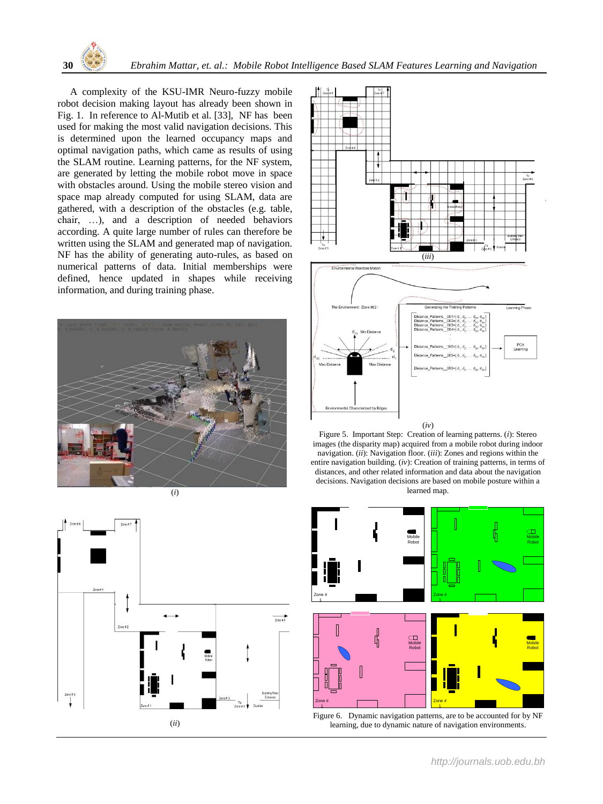

 A complexity of the KSU-IMR Neuro-fuzzy mobile robot decision making layout has already been shown in Fig. 1. In reference to Al-Mutib et al. [33], NF has been used for making the most valid navigation decisions. This is determined upon the learned occupancy maps and optimal navigation paths, which came as results of using the SLAM routine. Learning patterns, for the NF system, are generated by letting the mobile robot move in space with obstacles around. Using the mobile stereo vision and space map already computed for using SLAM, data are gathered, with a description of the obstacles (e.g. table, chair, …), and a description of needed behaviors according. A quite large number of rules can therefore be written using the SLAM and generated map of navigation. NF has the ability of generating auto-rules, as based on numerical patterns of data. Initial memberships were defined, hence updated in shapes while receiving information, and during training phase.









Figure 5. Important Step: Creation of learning patterns. (*i*): Stereo images (the disparity map) acquired from a mobile robot during indoor navigation. (*ii*): Navigation floor. (*iii*): Zones and regions within the entire navigation building. (*iv*): Creation of training patterns, in terms of distances, and other related information and data about the navigation decisions. Navigation decisions are based on mobile posture within a learned map.



Figure 6. Dynamic navigation patterns, are to be accounted for by NF learning, due to dynamic nature of navigation environments.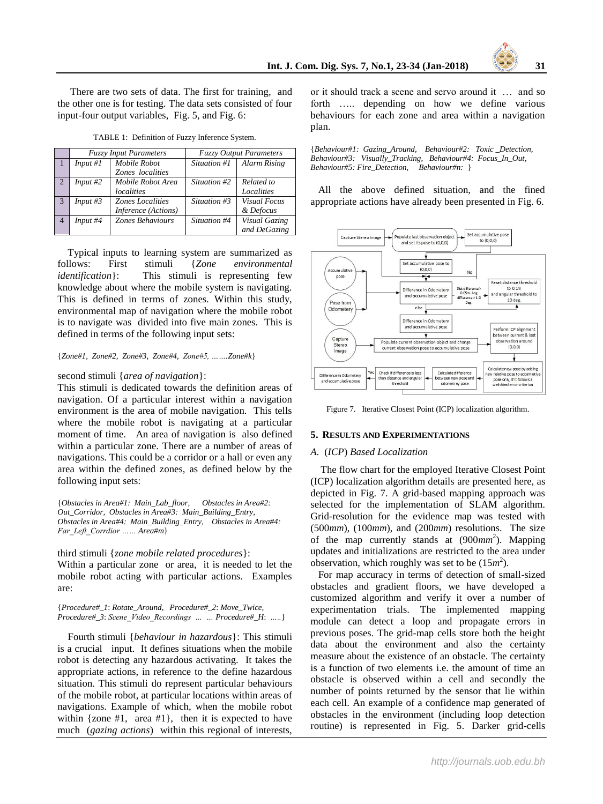There are two sets of data. The first for training, and the other one is for testing. The data sets consisted of four input-four output variables, Fig. 5, and Fig. 6:

|                | <b>Fuzzy Input Parameters</b> |                                                | <b>Fuzzy Output Parameters</b> |                                  |
|----------------|-------------------------------|------------------------------------------------|--------------------------------|----------------------------------|
|                | Input#1                       | Mobile Robot<br>Zones localities               | Situation #1                   | <b>Alarm Rising</b>              |
| $\overline{2}$ | Input#2                       | Mobile Robot Area<br>localities                | Situation #2                   | Related to<br>Localities         |
| -3             | Input $#3$                    | <b>Zones Localities</b><br>Inference (Actions) | Situation #3                   | <b>Visual Focus</b><br>& Defocus |
| $\overline{4}$ | Input #4                      | Zones Behaviours                               | Situation #4                   | Visual Gazing<br>and DeGazing    |

TABLE 1: Definition of Fuzzy Inference System.

 Typical inputs to learning system are summarized as follows: First stimuli {*Zone environmental identification* : This stimuli is representing few knowledge about where the mobile system is navigating. This is defined in terms of zones. Within this study, environmental map of navigation where the mobile robot is to navigate was divided into five main zones. This is defined in terms of the following input sets:

{*Zone#1, Zone#2, Zone#3, Zone#4, Zone#5, …….Zone#k*}

#### second stimuli {*area of navigation*}:

This stimuli is dedicated towards the definition areas of navigation. Of a particular interest within a navigation environment is the area of mobile navigation. This tells where the mobile robot is navigating at a particular moment of time. An area of navigation is also defined within a particular zone. There are a number of areas of navigations. This could be a corridor or a hall or even any area within the defined zones, as defined below by the following input sets:

{*Obstacles in Area#1: Main\_Lab\_floor, Obstacles in Area#2: Out\_Corridor, Obstacles in Area#3: Main\_Building\_Entry, Obstacles in Area#4: Main\_Building\_Entry, Obstacles in Area#4: Far\_Left\_Corrdior …… Area#m*}

third stimuli {*zone mobile related procedures*}: Within a particular zone or area, it is needed to let the mobile robot acting with particular actions. Examples are:

{*Procedure#\_1*: *Rotate\_Around, Procedure#\_2*: *Move\_Twice, Procedure#\_3*: *Scene\_Video\_Recordings … … Procedure#\_H*: *…..*}

 Fourth stimuli {*behaviour in hazardous*}: This stimuli is a crucial input. It defines situations when the mobile robot is detecting any hazardous activating. It takes the appropriate actions, in reference to the define hazardous situation. This stimuli do represent particular behaviours of the mobile robot, at particular locations within areas of navigations. Example of which, when the mobile robot within  $\{zone #1, area #1\}$ , then it is expected to have much (*gazing actions*) within this regional of interests,

or it should track a scene and servo around it … and so forth ….. depending on how we define various behaviours for each zone and area within a navigation plan.

{*Behaviour#1: Gazing\_Around, Behaviour#2: Toxic \_Detection, Behaviour#3: Visually\_Tracking, Behaviour#4: Focus\_In\_Out, Behaviour#5: Fire\_Detection, Behaviour#n:* }

 All the above defined situation, and the fined appropriate actions have already been presented in Fig. 6.



Figure 7. Iterative Closest Point (ICP) localization algorithm.

## **5. RESULTS AND EXPERIMENTATIONS**

#### *A.* (*ICP*) *Based Localization*

 The flow chart for the employed Iterative Closest Point (ICP) localization algorithm details are presented here, as depicted in Fig. 7. A grid-based mapping approach was selected for the implementation of SLAM algorithm. Grid-resolution for the evidence map was tested with (500*mm*), (100*mm*), and (200*mm*) resolutions. The size of the map currently stands at (900*mm* 2 ). Mapping updates and initializations are restricted to the area under observation, which roughly was set to be  $(15m^2)$ .

 For map accuracy in terms of detection of small-sized obstacles and gradient floors, we have developed a customized algorithm and verify it over a number of experimentation trials. The implemented mapping module can detect a loop and propagate errors in previous poses. The grid-map cells store both the height data about the environment and also the certainty measure about the existence of an obstacle. The certainty is a function of two elements i.e. the amount of time an obstacle is observed within a cell and secondly the number of points returned by the sensor that lie within each cell. An example of a confidence map generated of obstacles in the environment (including loop detection routine) is represented in Fig. 5. Darker grid-cells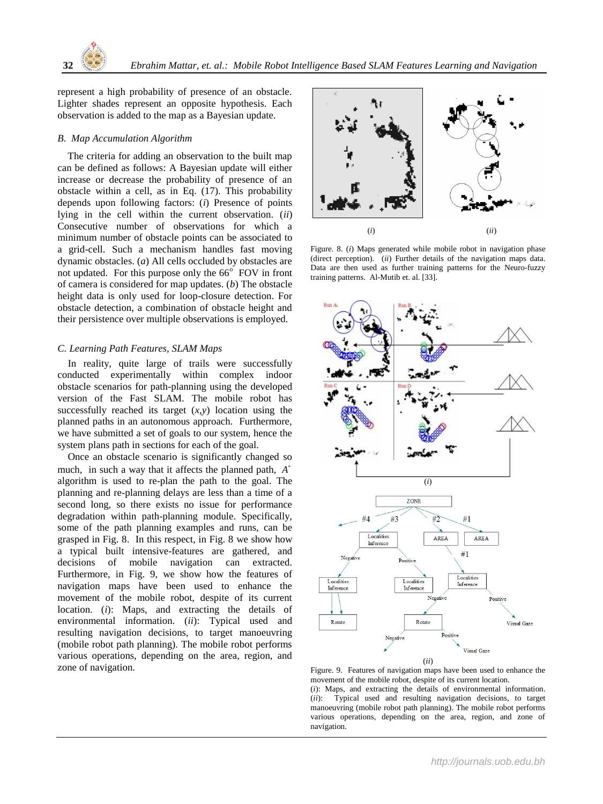

represent a high probability of presence of an obstacle. Lighter shades represent an opposite hypothesis. Each observation is added to the map as a Bayesian update.

## *B. Map Accumulation Algorithm*

 The criteria for adding an observation to the built map can be defined as follows: A Bayesian update will either increase or decrease the probability of presence of an obstacle within a cell, as in Eq. (17). This probability depends upon following factors: (*i*) Presence of points lying in the cell within the current observation. (*ii*) Consecutive number of observations for which a minimum number of obstacle points can be associated to a grid-cell. Such a mechanism handles fast moving dynamic obstacles. (*a*) All cells occluded by obstacles are not updated. For this purpose only the  $66^\circ$  FOV in front of camera is considered for map updates. (*b*) The obstacle height data is only used for loop-closure detection. For obstacle detection, a combination of obstacle height and their persistence over multiple observations is employed.

# *C. Learning Path Features, SLAM Maps*

 In reality, quite large of trails were successfully conducted experimentally within complex indoor obstacle scenarios for path-planning using the developed version of the Fast SLAM. The mobile robot has successfully reached its target  $(x, y)$  location using the planned paths in an autonomous approach. Furthermore, we have submitted a set of goals to our system, hence the system plans path in sections for each of the goal.

 Once an obstacle scenario is significantly changed so much, in such a way that it affects the planned path, *\* A*algorithm is used to re-plan the path to the goal. The planning and re-planning delays are less than a time of a second long, so there exists no issue for performance degradation within path-planning module. Specifically, some of the path planning examples and runs, can be grasped in Fig. 8. In this respect, in Fig. 8 we show how a typical built intensive-features are gathered, and decisions of mobile navigation can extracted. Furthermore, in Fig. 9, we show how the features of navigation maps have been used to enhance the movement of the mobile robot, despite of its current location. (*i*): Maps, and extracting the details of environmental information. (*ii*): Typical used and resulting navigation decisions, to target manoeuvring (mobile robot path planning). The mobile robot performs various operations, depending on the area, region, and zone of navigation.



Figure. 8. (*i*) Maps generated while mobile robot in navigation phase (direct perception). (*ii*) Further details of the navigation maps data. Data are then used as further training patterns for the Neuro-fuzzy training patterns. Al-Mutib et. al. [33].



Figure. 9. Features of navigation maps have been used to enhance the movement of the mobile robot, despite of its current location. (*i*): Maps, and extracting the details of environmental information. (*ii*): Typical used and resulting navigation decisions, to target manoeuvring (mobile robot path planning). The mobile robot performs various operations, depending on the area, region, and zone of

navigation.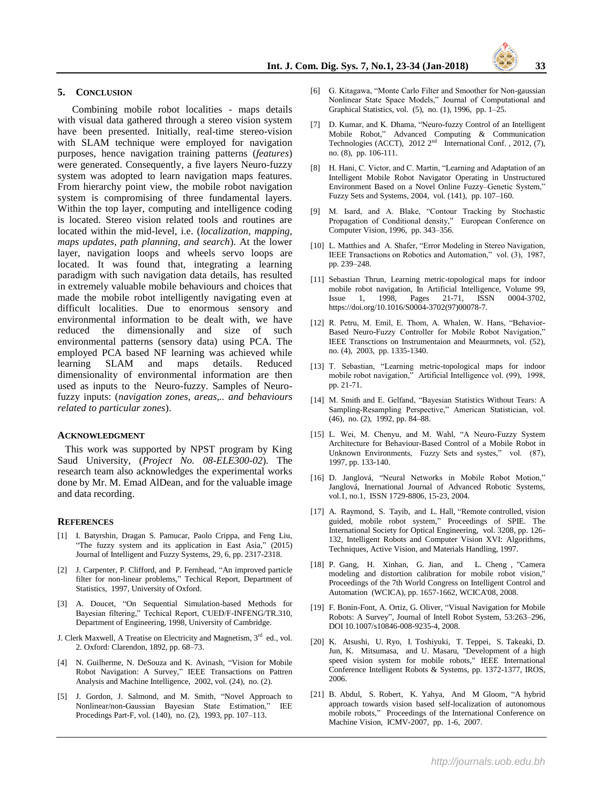#### **5. CONCLUSION**

Combining mobile robot localities - maps details with visual data gathered through a stereo vision system have been presented. Initially, real-time stereo-vision with SLAM technique were employed for navigation purposes, hence navigation training patterns (*features*) were generated. Consequently, a five layers Neuro-fuzzy system was adopted to learn navigation maps features. From hierarchy point view, the mobile robot navigation system is compromising of three fundamental layers. Within the top layer, computing and intelligence coding is located. Stereo vision related tools and routines are located within the mid-level, i.e. (*localization, mapping, maps updates, path planning, and search*). At the lower layer, navigation loops and wheels servo loops are located. It was found that, integrating a learning paradigm with such navigation data details, has resulted in extremely valuable mobile behaviours and choices that made the mobile robot intelligently navigating even at difficult localities. Due to enormous sensory and environmental information to be dealt with, we have reduced the dimensionally and size of such environmental patterns (sensory data) using PCA. The employed PCA based NF learning was achieved while learning SLAM and maps details. Reduced dimensionality of environmental information are then used as inputs to the Neuro-fuzzy. Samples of Neurofuzzy inputs: (*navigation zones, areas,.. and behaviours related to particular zones*).

#### **ACKNOWLEDGMENT**

 This work was supported by NPST program by King Saud University, (*Project No. 08-ELE300-02*). The research team also acknowledges the experimental works done by Mr. M. Emad AlDean, and for the valuable image and data recording.

#### **REFERENCES**

- [1] I. Batyrshin, Dragan S. Pamucar, Paolo Crippa, and Feng Liu, "The fuzzy system and its application in East Asia," (2015) Journal of Intelligent and Fuzzy Systems, 29, 6, pp. 2317-2318.
- [2] J. Carpenter, P. Clifford, and P. Fernhead, "An improved particle filter for non-linear problems," Techical Report, Department of Statistics, 1997, University of Oxford.
- [3] A. Doucet, "On Sequential Simulation-based Methods for Bayesian filtering," Techical Report, CUED/F-INFENG/TR.310, Department of Engineering, 1998, University of Cambridge.
- J. Clerk Maxwell, A Treatise on Electricity and Magnetism, 3<sup>rd</sup> ed., vol. 2. Oxford: Clarendon, 1892, pp. 68–73.
- [4] N. Guilherme, N. DeSouza and K. Avinash, "Vision for Mobile Robot Navigation: A Survey," IEEE Transactions on Pattren Analysis and Machine Intelligence, 2002, vol. (24), no. (2).
- [5] J. Gordon, J. Salmond, and M. Smith, "Novel Approach to Nonlinear/non-Gaussian Bayesian State Estimation," IEE Procedings Part-F, vol. (140), no. (2), 1993, pp. 107–113.
- [6] G. Kitagawa, "Monte Carlo Filter and Smoother for Non-gaussian Nonlinear State Space Models," Journal of Computational and Graphical Statistics, vol. (5), no. (1), 1996, pp. 1–25.
- [7] D. Kumar, and K. Dhama, "Neuro-fuzzy Control of an Intelligent Mobile Robot," Advanced Computing & Communication Technologies (ACCT),  $2012 \, 2^{nd}$  International Conf., 2012, (7), no. (8), pp. 106-111.
- [8] H. Hani, C. Victor, and C. Martin, "Learning and Adaptation of an Intelligent Mobile Robot Navigator Operating in Unstructured Environment Based on a Novel Online Fuzzy–Genetic System," Fuzzy Sets and Systems, 2004, vol. (141), pp. 107–160.
- M. Isard, and A. Blake, "Contour Tracking by Stochastic Propagation of Conditional density," European Conference on Computer Vision, 1996, pp. 343–356.
- [10] L. Matthies and A. Shafer, "Error Modeling in Stereo Navigation, IEEE Transactions on Robotics and Automation," vol. (3), 1987, pp. 239–248.
- [11] Sebastian Thrun, Learning metric-topological maps for indoor mobile robot navigation, In Artificial Intelligence, Volume 99,<br>Issue 1, 1998, Pages 21-71, ISSN 0004-3702, Issue 1,  $1998$ , Pages 21-71, ISSN https://doi.org/10.1016/S0004-3702(97)00078-7.
- [12] R. Petru, M. Emil, E. Thom, A. Whalen, W. Hans, "Behavior-Based Neuro-Fuzzy Controller for Mobile Robot Navigation,' IEEE Transctions on Instrumentaion and Meaurmnets, vol. (52), no. (4), 2003, pp. 1335-1340.
- [13] T. Sebastian, "Learning metric-topological maps for indoor mobile robot navigation," Artificial Intelligence vol. (99), 1998, pp. 21-71.
- [14] M. Smith and E. Gelfand, "Bayesian Statistics Without Tears: A Sampling-Resampling Perspective," American Statistician, vol. (46), no. (2), 1992, pp. 84–88.
- [15] L. Wei, M. Chenyu, and M. Wahl, "A Neuro-Fuzzy System Architecture for Behaviour-Based Control of a Mobile Robot in Unknown Environments, Fuzzy Sets and systes," vol. (87), 1997, pp. 133-140.
- [16] D. Janglová, "Neural Networks in Mobile Robot Motion," Janglová, Inernational Journal of Advanced Robotic Systems, vol.1, no.1, ISSN 1729-8806, 15-23, 2004.
- [17] A. Raymond, S. Tayib, and L. Hall, "Remote controlled, vision guided, mobile robot system," Proceedings of SPIE. The International Society for Optical Engineering, vol. 3208, pp. 126- 132, Intelligent Robots and Computer Vision XVI: Algorithms, Techniques, Active Vision, and Materials Handling, 1997.
- [18] P. Gang, H. Xinhan, G. Jian, and L. Cheng , "Camera modeling and distortion calibration for mobile robot vision," Proceedings of the 7th World Congress on Intelligent Control and Automation (WCICA), pp. 1657-1662, WCICA'08, 2008.
- [19] F. Bonin-Font, A. Ortiz, G. Oliver, "Visual Navigation for Mobile Robots: A Survey", Journal of Intell Robot System, 53:263–296, DOI 10.1007/s10846-008-9235-4, 2008.
- [20] K. Atsushi, U. Ryo, I. Toshiyuki, T. Teppei, S. Takeaki, D. Jun, K. Mitsumasa, and U. Masaru, "Development of a high speed vision system for mobile robots," IEEE International Conference Intelligent Robots & Systems, pp. 1372-1377, IROS, 2006.
- [21] B. Abdul, S. Robert, K. Yahya, And M Gloom, "A hybrid approach towards vision based self-localization of autonomous mobile robots," Proceedings of the International Conference on Machine Vision, ICMV-2007, pp. 1-6, 2007.